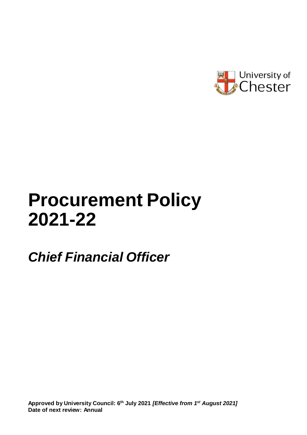

# **Procurement Policy 2021-22**

# *Chief Financial Officer*

**Approved by University Council: 6 th July 2021** *[Effective from 1st August 2021]* **Date of next review: Annual**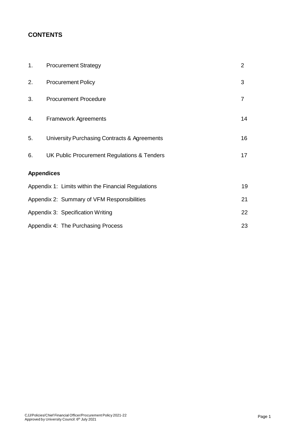# **CONTENTS**

| 1.                                                | <b>Procurement Strategy</b>                         | $\overline{2}$ |  |
|---------------------------------------------------|-----------------------------------------------------|----------------|--|
| 2.                                                | <b>Procurement Policy</b>                           | 3              |  |
| 3.                                                | <b>Procurement Procedure</b>                        | $\overline{7}$ |  |
| 4.                                                | <b>Framework Agreements</b>                         | 14             |  |
| 5.                                                | University Purchasing Contracts & Agreements        | 16             |  |
| 6.                                                | UK Public Procurement Regulations & Tenders         | 17             |  |
| <b>Appendices</b>                                 |                                                     |                |  |
|                                                   | Appendix 1: Limits within the Financial Regulations | 19             |  |
| 21<br>Appendix 2: Summary of VFM Responsibilities |                                                     |                |  |
| Appendix 3: Specification Writing                 |                                                     |                |  |
|                                                   | 23<br>Appendix 4: The Purchasing Process            |                |  |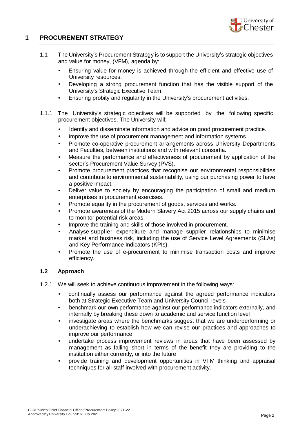

# **1 PROCUREMENT STRATEGY**

- 1.1 The University's Procurement Strategy is to support the University's strategic objectives and value for money, (VFM), agenda by:
	- Ensuring value for money is achieved through the efficient and effective use of University resources.
	- Developing a strong procurement function that has the visible support of the University's Strategic Executive Team.
	- Ensuring probity and regularity in the University's procurement activities.
- 1.1.1 The University's strategic objectives will be supported by the following specific procurement objectives. The University will:
	- Identify and disseminate information and advice on good procurement practice.
	- Improve the use of procurement management and information systems.
	- Promote co-operative procurement arrangements across University Departments and Faculties, between institutions and with relevant consortia.
	- Measure the performance and effectiveness of procurement by application of the sector's Procurement Value Survey (PVS).
	- Promote procurement practices that recognise our environmental responsibilities and contribute to environmental sustainability, using our purchasing power to have a positive impact.
	- Deliver value to society by encouraging the participation of small and medium enterprises in procurement exercises.
	- Promote equality in the procurement of goods, services and works.
	- Promote awareness of the Modern Slavery Act 2015 across our supply chains and to monitor potential risk areas.
	- Improve the training and skills of those involved in procurement.
	- Analyse supplier expenditure and manage supplier relationships to minimise market and business risk, including the use of Service Level Agreements (SLAs) and Key Performance Indicators (KPIs).
	- Promote the use of e-procurement to minimise transaction costs and improve efficiency.

# **1.2 Approach**

- 1.2.1 We will seek to achieve continuous improvement in the following ways:
	- continually assess our performance against the agreed performance indicators both at Strategic Executive Team and University Council levels
	- benchmark our own performance against our performance indicators externally, and internally by breaking these down to academic and service function level
	- investigate areas where the benchmarks suggest that we are underperforming or underachieving to establish how we can revise our practices and approaches to improve our performance
	- undertake process improvement reviews in areas that have been assessed by management as falling short in terms of the benefit they are providing to the institution either currently, or into the future
	- provide training and development opportunities in VFM thinking and appraisal techniques for all staff involved with procurement activity.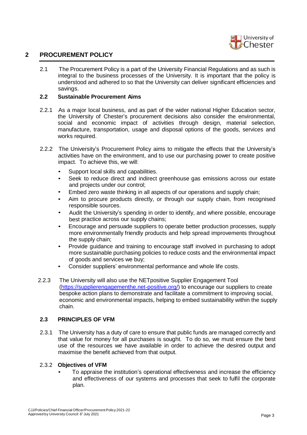

2.1 The Procurement Policy is a part of the University Financial Regulations and as such is integral to the business processes of the University. It is important that the policy is understood and adhered to so that the University can deliver significant efficiencies and savings.

#### **2.2 Sustainable Procurement Aims**

- 2.2.1 As a major local business, and as part of the wider national Higher Education sector, the University of Chester's procurement decisions also consider the environmental, social and economic impact of activities through design, material selection, manufacture, transportation, usage and disposal options of the goods, services and works required.
- 2.2.2 The University's Procurement Policy aims to mitigate the effects that the University's activities have on the environment, and to use our purchasing power to create positive impact. To achieve this, we will:
	- Support local skills and capabilities.
	- Seek to reduce direct and indirect greenhouse gas emissions across our estate and projects under our control;
	- Embed zero waste thinking in all aspects of our operations and supply chain;
	- Aim to procure products directly, or through our supply chain, from recognised responsible sources.
	- Audit the University's spending in order to identify, and where possible, encourage best practice across our supply chains;
	- Encourage and persuade suppliers to operate better production processes, supply more environmentally friendly products and help spread improvements throughout the supply chain;
	- Provide guidance and training to encourage staff involved in purchasing to adopt more sustainable purchasing policies to reduce costs and the environmental impact of goods and services we buy;
	- Consider suppliers' environmental performance and whole life costs.
- 2.2.3 The University will also use the NETpositive Supplier Engagement Tool [\(https://supplierengagementhe.net-positive.org/\)](https://supplierengagementhe.net-positive.org/) to encourage our suppliers to create bespoke action plans to demonstrate and facilitate a commitment to improving social, economic and environmental impacts, helping to embed sustainability within the supply chain.

#### **2.3 PRINCIPLES OF VFM**

2.3.1 The University has a duty of care to ensure that public funds are managed correctly and that value for money for all purchases is sought. To do so, we must ensure the best use of the resources we have available in order to achieve the desired output and maximise the benefit achieved from that output.

#### 2.3.2 **Objectives of VFM**

• To appraise the institution's operational effectiveness and increase the efficiency and effectiveness of our systems and processes that seek to fulfil the corporate plan.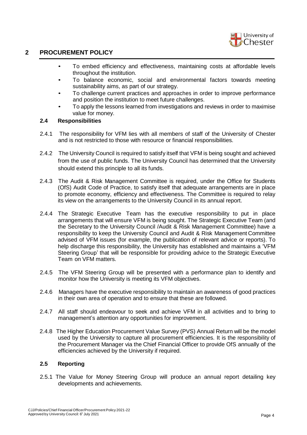

- To embed efficiency and effectiveness, maintaining costs at affordable levels throughout the institution.
- To balance economic, social and environmental factors towards meeting sustainability aims, as part of our strategy.
- To challenge current practices and approaches in order to improve performance and position the institution to meet future challenges.
- To apply the lessons learned from investigations and reviews in order to maximise value for money.

#### **2.4 Responsibilities**

- 2.4.1 The responsibility for VFM lies with all members of staff of the University of Chester and is not restricted to those with resource or financial responsibilities.
- 2.4.2 The University Council is required to satisfy itself that VFM is being sought and achieved from the use of public funds. The University Council has determined that the University should extend this principle to all its funds.
- 2.4.3 The Audit & Risk Management Committee is required, under the Office for Students (OfS) Audit Code of Practice, to satisfy itself that adequate arrangements are in place to promote economy, efficiency and effectiveness. The Committee is required to relay its view on the arrangements to the University Council in its annual report.
- 2.4.4 The Strategic Executive Team has the executive responsibility to put in place arrangements that will ensure VFM is being sought. The Strategic Executive Team (and the Secretary to the University Council /Audit & Risk Management Committee) have a responsibility to keep the University Council and Audit & Risk Management Committee advised of VFM issues (for example, the publication of relevant advice or reports). To help discharge this responsibility, the University has established and maintains a 'VFM Steering Group' that will be responsible for providing advice to the Strategic Executive Team on VFM matters.
- 2.4.5 The VFM Steering Group will be presented with a performance plan to identify and monitor how the University is meeting its VFM objectives.
- 2.4.6 Managers have the executive responsibility to maintain an awareness of good practices in their own area of operation and to ensure that these are followed.
- 2.4.7 All staff should endeavour to seek and achieve VFM in all activities and to bring to management's attention any opportunities for improvement.
- 2.4.8 The Higher Education Procurement Value Survey (PVS) Annual Return will be the model used by the University to capture all procurement efficiencies. It is the responsibility of the Procurement Manager via the Chief Financial Officer to provide OfS annually of the efficiencies achieved by the University if required.

# **2.5 Reporting**

2.5.1 The Value for Money Steering Group will produce an annual report detailing key developments and achievements.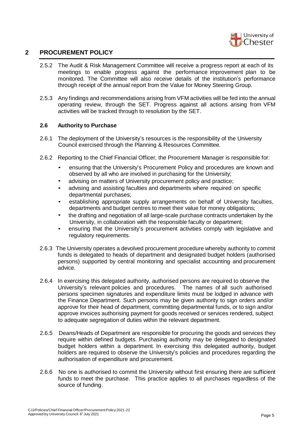

- 2.5.2 The Audit & Risk Management Committee will receive a progress report at each of its meetings to enable progress against the performance improvement plan to be monitored. The Committee will also receive details of the institution's performance through receipt of the annual report from the Value for Money Steering Group.
- 2.5.3 Any findings and recommendations arising from VFM activities will be fed into the annual operating review, through the SET. Progress against all actions arising from VFM activities will be tracked through to resolution by the SET.

#### **2.6 Authority to Purchase**

- 2.6.1 The deployment of the University's resources is the responsibility of the University Council exercised through the Planning & Resources Committee.
- 2.6.2 Reporting to the Chief Financial Officer, the Procurement Manager is responsible for:
	- ensuring that the University's Procurement Policy and procedures are known and observed by all who are involved in purchasing for the University;
	- advising on matters of University procurement policy and practice;
	- advising and assisting faculties and departments where required on specific departmental purchases;
	- establishing appropriate supply arrangements on behalf of University faculties, departments and budget centres to meet their value for money obligations;
	- the drafting and negotiation of all large-scale purchase contracts undertaken by the University, in collaboration with the responsible faculty or department;
	- ensuring that the University's procurement activities comply with legislative and regulatory requirements.
- 2.6.3 The University operates a devolved procurement procedure whereby authority to commit funds is delegated to heads of department and designated budget holders (authorised persons) supported by central monitoring and specialist accounting and procurement advice.
- 2.6.4 In exercising this delegated authority, authorised persons are required to observe the University's relevant policies and procedures. The names of all such authorised persons specimen signatures and expenditure limits must be lodged in advance with the Finance Department. Such persons may be given authority to sign orders and/or approve for their head of department, committing departmental funds, or to sign and/or approve invoices authorising payment for goods received or services rendered, subject to adequate segregation of duties within the relevant department.
- 2.6.5 Deans/Heads of Department are responsible for procuring the goods and services they require within defined budgets. Purchasing authority may be delegated to designated budget holders within a department. In exercising this delegated authority, budget holders are required to observe the University's policies and procedures regarding the authorisation of expenditure and procurement.
- 2.6.6 No one is authorised to commit the University without first ensuring there are sufficient funds to meet the purchase. This practice applies to all purchases regardless of the source of funding.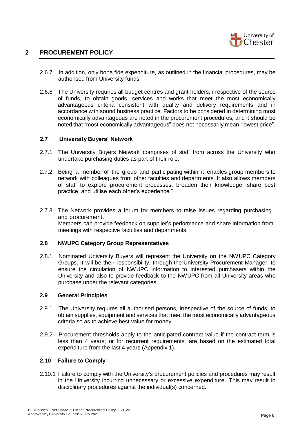

- 2.6.7 In addition, only bona fide expenditure, as outlined in the financial procedures, may be authorised from University funds.
- 2.6.8 The University requires all budget centres and grant holders, irrespective of the source of funds, to obtain goods, services and works that meet the most economically advantageous criteria consistent with quality and delivery requirements and in accordance with sound business practice. Factors to be considered in determining most economically advantageous are noted in the procurement procedures, and it should be noted that "most economically advantageous" does not necessarily mean "lowest price".

#### **2.7 University Buyers' Network**

- 2.7.1 The University Buyers Network comprises of staff from across the University who undertake purchasing duties as part of their role.
- 2.7.2 Being a member of the group and participating within it enables group members to network with colleagues from other faculties and departments. It also allows members of staff to explore procurement processes, broaden their knowledge, share best practice, and utilise each other's experience."
- 2.7.3 The Network provides a forum for members to raise issues regarding purchasing and procurement. Members can provide feedback on supplier's performance and share information from meetings with respective faculties and departments.

#### **2.8 NWUPC Category Group Representatives**

2.8.1 Nominated University Buyers will represent the University on the NWUPC Category Groups. It will be their responsibility, through the University Procurement Manager, to ensure the circulation of NWUPC information to interested purchasers within the University and also to provide feedback to the NWUPC from all University areas who purchase under the relevant categories.

#### **2.9 General Principles**

- 2.9.1 The University requires all authorised persons, irrespective of the source of funds, to obtain supplies, equipment and services that meet the most economically advantageous criteria so as to achieve best value for money.
- 2.9.2 Procurement thresholds apply to the anticipated contract value if the contract term is less than 4 years; or for recurrent requirements, are based on the estimated total expenditure from the last 4 years (Appendix 1).

#### **2.10 Failure to Comply**

2.10.1 Failure to comply with the University's procurement policies and procedures may result in the University incurring unnecessary or excessive expenditure. This may result in disciplinary procedures against the individual(s) concerned.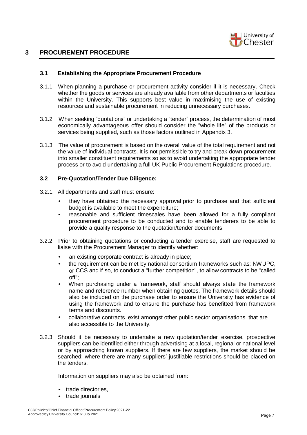

#### **3.1 Establishing the Appropriate Procurement Procedure**

- 3.1.1 When planning a purchase or procurement activity consider if it is necessary. Check whether the goods or services are already available from other departments or faculties within the University. This supports best value in maximising the use of existing resources and sustainable procurement in reducing unnecessary purchases.
- 3.1.2 When seeking "quotations" or undertaking a "tender" process, the determination of most economically advantageous offer should consider the "whole life" of the products or services being supplied, such as those factors outlined in Appendix 3.
- 3.1.3 The value of procurement is based on the overall value of the total requirement and not the value of individual contracts. It is not permissible to try and break down procurement into smaller constituent requirements so as to avoid undertaking the appropriate tender process or to avoid undertaking a full UK Public Procurement Regulations procedure.

#### **3.2 Pre-Quotation/Tender Due Diligence:**

- 3.2.1 All departments and staff must ensure:
	- they have obtained the necessary approval prior to purchase and that sufficient budget is available to meet the expenditure;
	- reasonable and sufficient timescales have been allowed for a fully compliant procurement procedure to be conducted and to enable tenderers to be able to provide a quality response to the quotation/tender documents.
- 3.2.2 Prior to obtaining quotations or conducting a tender exercise, staff are requested to liaise with the Procurement Manager to identify whether:
	- an existing corporate contract is already in place;
	- the requirement can be met by national consortium frameworks such as: NWUPC, or CCS and if so, to conduct a "further competition", to allow contracts to be "called off";
	- When purchasing under a framework, staff should always state the framework name and reference number when obtaining quotes. The framework details should also be included on the purchase order to ensure the University has evidence of using the framework and to ensure the purchase has benefitted from framework terms and discounts.
	- collaborative contracts exist amongst other public sector organisations that are also accessible to the University.
- 3.2.3 Should it be necessary to undertake a new quotation/tender exercise, prospective suppliers can be identified either through advertising at a local, regional or national level or by approaching known suppliers. If there are few suppliers, the market should be searched; where there are many suppliers' justifiable restrictions should be placed on the tenders.

Information on suppliers may also be obtained from:

- trade directories,
- trade journals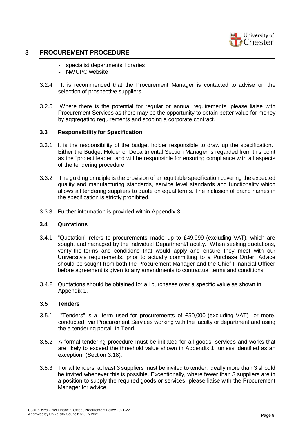

- specialist departments' libraries
- NWUPC website
- 3.2.4 It is recommended that the Procurement Manager is contacted to advise on the selection of prospective suppliers.
- 3.2.5 Where there is the potential for regular or annual requirements, please liaise with Procurement Services as there may be the opportunity to obtain better value for money by aggregating requirements and scoping a corporate contract.

#### **3.3 Responsibility for Specification**

- 3.3.1 It is the responsibility of the budget holder responsible to draw up the specification. Either the Budget Holder or Departmental Section Manager is regarded from this point as the "project leader" and will be responsible for ensuring compliance with all aspects of the tendering procedure.
- 3.3.2 The guiding principle is the provision of an equitable specification covering the expected quality and manufacturing standards, service level standards and functionality which allows all tendering suppliers to quote on equal terms. The inclusion of brand names in the specification is strictly prohibited.
- 3.3.3 Further information is provided within Appendix 3.

#### **3.4 Quotations**

- 3.4.1 "Quotation" refers to procurements made up to £49,999 (excluding VAT), which are sought and managed by the individual Department/Faculty. When seeking quotations, verify the terms and conditions that would apply and ensure they meet with our University's requirements, prior to actually committing to a Purchase Order. Advice should be sought from both the Procurement Manager and the Chief Financial Officer before agreement is given to any amendments to contractual terms and conditions.
- 3.4.2 Quotations should be obtained for all purchases over a specific value as shown in Appendix 1.

#### **3.5 Tenders**

- 3.5.1 "Tenders" is a term used for procurements of £50,000 (excluding VAT) or more, conducted via Procurement Services working with the faculty or department and using the e-tendering portal, In-Tend.
- 3.5.2 A formal tendering procedure must be initiated for all goods, services and works that are likely to exceed the threshold value shown in Appendix 1, unless identified as an exception, (Section 3.18).
- 3.5.3 For all tenders, at least 3 suppliers must be invited to tender, ideally more than 3 should be invited whenever this is possible. Exceptionally, where fewer than 3 suppliers are in a position to supply the required goods or services, please liaise with the Procurement Manager for advice.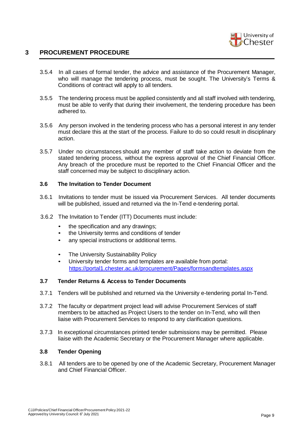

- 3.5.4 In all cases of formal tender, the advice and assistance of the Procurement Manager, who will manage the tendering process, must be sought. The University's Terms & Conditions of contract will apply to all tenders.
- 3.5.5 The tendering process must be applied consistently and all staff involved with tendering, must be able to verify that during their involvement, the tendering procedure has been adhered to.
- 3.5.6 Any person involved in the tendering process who has a personal interest in any tender must declare this at the start of the process. Failure to do so could result in disciplinary action.
- 3.5.7 Under no circumstances should any member of staff take action to deviate from the stated tendering process, without the express approval of the Chief Financial Officer. Any breach of the procedure must be reported to the Chief Financial Officer and the staff concerned may be subject to disciplinary action.

#### **3.6 The Invitation to Tender Document**

- 3.6.1 Invitations to tender must be issued via Procurement Services. All tender documents will be published, issued and returned via the In-Tend e-tendering portal.
- 3.6.2 The Invitation to Tender (ITT) Documents must include:
	- the specification and any drawings;
	- the University terms and conditions of tender
	- any special instructions or additional terms.
	- The University Sustainability Policy
	- University tender forms and templates are available from portal: <https://portal1.chester.ac.uk/procurement/Pages/formsandtemplates.aspx>

#### **3.7 Tender Returns & Access to Tender Documents**

- 3.7.1 Tenders will be published and returned via the University e-tendering portal In-Tend.
- 3.7.2 The faculty or department project lead will advise Procurement Services of staff members to be attached as Project Users to the tender on In-Tend, who will then liaise with Procurement Services to respond to any clarification questions.
- 3.7.3 In exceptional circumstances printed tender submissions may be permitted. Please liaise with the Academic Secretary or the Procurement Manager where applicable.

#### **3.8 Tender Opening**

3.8.1 All tenders are to be opened by one of the Academic Secretary, Procurement Manager and Chief Financial Officer.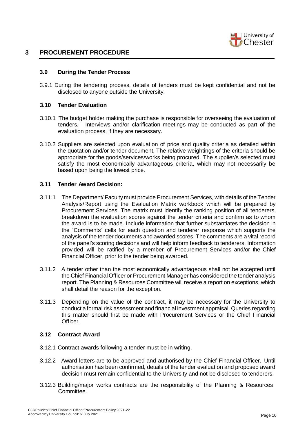

#### **3.9 During the Tender Process**

3.9.1 During the tendering process, details of tenders must be kept confidential and not be disclosed to anyone outside the University.

#### **3.10 Tender Evaluation**

- 3.10.1 The budget holder making the purchase is responsible for overseeing the evaluation of tenders. Interviews and/or clarification meetings may be conducted as part of the evaluation process, if they are necessary.
- 3.10.2 Suppliers are selected upon evaluation of price and quality criteria as detailed within the quotation and/or tender document. The relative weightings of the criteria should be appropriate for the goods/services/works being procured. The supplier/s selected must satisfy the most economically advantageous criteria, which may not necessarily be based upon being the lowest price.

#### **3.11 Tender Award Decision:**

- 3.11.1 The Department/ Faculty must provide Procurement Services, with details of the Tender Analysis/Report using the Evaluation Matrix workbook which will be prepared by Procurement Services. The matrix must identify the ranking position of all tenderers, breakdown the evaluation scores against the tender criteria and confirm as to whom the award is to be made. Include information that further substantiates the decision in the "Comments" cells for each question and tenderer response which supports the analysis of the tender documents and awarded scores. The comments are a vital record of the panel's scoring decisions and will help inform feedback to tenderers. Information provided will be ratified by a member of Procurement Services and/or the Chief Financial Officer, prior to the tender being awarded.
- 3.11.2 A tender other than the most economically advantageous shall not be accepted until the Chief Financial Officer or Procurement Manager has considered the tender analysis report. The Planning & Resources Committee will receive a report on exceptions, which shall detail the reason for the exception.
- 3.11.3 Depending on the value of the contract, it may be necessary for the University to conduct a formal risk assessment and financial investment appraisal. Queries regarding this matter should first be made with Procurement Services or the Chief Financial Officer.

#### **3.12 Contract Award**

- 3.12.1 Contract awards following a tender must be in writing.
- 3.12.2 Award letters are to be approved and authorised by the Chief Financial Officer. Until authorisation has been confirmed, details of the tender evaluation and proposed award decision must remain confidential to the University and not be disclosed to tenderers.
- 3.12.3 Building/major works contracts are the responsibility of the Planning & Resources Committee.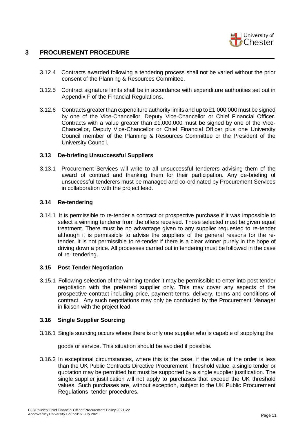

- 3.12.4 Contracts awarded following a tendering process shall not be varied without the prior consent of the Planning & Resources Committee.
- 3.12.5 Contract signature limits shall be in accordance with expenditure authorities set out in Appendix F of the Financial Regulations.
- 3.12.6 Contracts greater than expenditure authority limits and up to £1,000,000 must be signed by one of the Vice-Chancellor, Deputy Vice-Chancellor or Chief Financial Officer. Contracts with a value greater than £1,000,000 must be signed by one of the Vice-Chancellor, Deputy Vice-Chancellor or Chief Financial Officer plus one University Council member of the Planning & Resources Committee or the President of the University Council.

#### **3.13 De-briefing Unsuccessful Suppliers**

3.13.1 Procurement Services will write to all unsuccessful tenderers advising them of the award of contract and thanking them for their participation. Any de-briefing of unsuccessful tenderers must be managed and co-ordinated by Procurement Services in collaboration with the project lead.

#### **3.14 Re-tendering**

3.14.1 It is permissible to re-tender a contract or prospective purchase if it was impossible to select a winning tenderer from the offers received. Those selected must be given equal treatment. There must be no advantage given to any supplier requested to re-tender although it is permissible to advise the suppliers of the general reasons for the retender. It is not permissible to re-tender if there is a clear winner purely in the hope of driving down a price. All processes carried out in tendering must be followed in the case of re- tendering.

#### **3.15 Post Tender Negotiation**

3.15.1 Following selection of the winning tender it may be permissible to enter into post tender negotiation with the preferred supplier only. This may cover any aspects of the prospective contract including price, payment terms, delivery, terms and conditions of contract. Any such negotiations may only be conducted by the Procurement Manager in liaison with the project lead.

#### **3.16 Single Supplier Sourcing**

3.16.1 Single sourcing occurs where there is only one supplier who is capable of supplying the

goods or service. This situation should be avoided if possible.

3.16.2 In exceptional circumstances, where this is the case, if the value of the order is less than the UK Public Contracts Directive Procurement Threshold value, a single tender or quotation may be permitted but must be supported by a single supplier justification. The single supplier justification will not apply to purchases that exceed the UK threshold values. Such purchases are, without exception, subject to the UK Public Procurement Regulations tender procedures.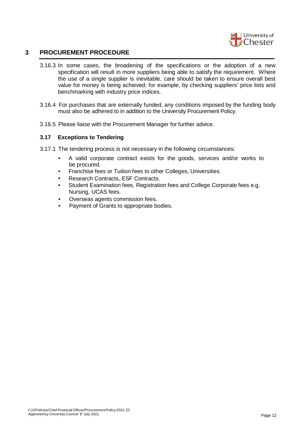

- 3.16.3 In some cases, the broadening of the specifications or the adoption of a new specification will result in more suppliers being able to satisfy the requirement. Where the use of a single supplier is inevitable, care should be taken to ensure overall best value for money is being achieved; for example, by checking suppliers' price lists and benchmarking with industry price indices.
- 3.16.4 For purchases that are externally funded, any conditions imposed by the funding body must also be adhered to in addition to the University Procurement Policy.
- 3.16.5 Please liaise with the Procurement Manager for further advice.

#### **3.17 Exceptions to Tendering**

- 3.17.1 The tendering process is not necessary in the following circumstances:
	- A valid corporate contract exists for the goods, services and/or works to be procured.
	- Franchise fees or Tuition fees to other Colleges, Universities.
	- Research Contracts, ESF Contracts.
	- Student Examination fees, Registration fees and College Corporate fees e.g. Nursing, UCAS fees.
	- Overseas agents commission fees.
	- Payment of Grants to appropriate bodies.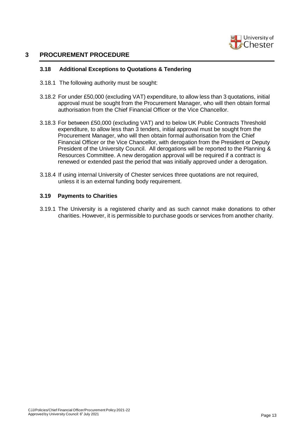

#### **3.18 Additional Exceptions to Quotations & Tendering**

- 3.18.1 The following authority must be sought:
- 3.18.2 For under £50,000 (excluding VAT) expenditure, to allow less than 3 quotations, initial approval must be sought from the Procurement Manager, who will then obtain formal authorisation from the Chief Financial Officer or the Vice Chancellor.
- 3.18.3 For between £50,000 (excluding VAT) and to below UK Public Contracts Threshold expenditure, to allow less than 3 tenders, initial approval must be sought from the Procurement Manager, who will then obtain formal authorisation from the Chief Financial Officer or the Vice Chancellor, with derogation from the President or Deputy President of the University Council. All derogations will be reported to the Planning & Resources Committee. A new derogation approval will be required if a contract is renewed or extended past the period that was initially approved under a derogation.
- 3.18.4 If using internal University of Chester services three quotations are not required, unless it is an external funding body requirement.

#### **3.19 Payments to Charities**

3.19.1 The University is a registered charity and as such cannot make donations to other charities. However, it is permissible to purchase goods or services from another charity.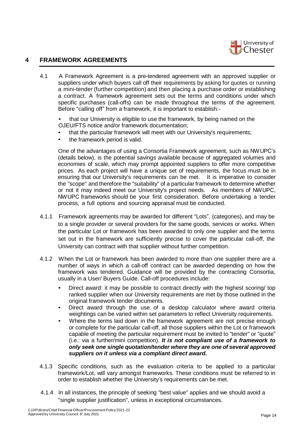

#### **4 FRAMEWORK AGREEMENTS**

4.1 A Framework Agreement is a pre-tendered agreement with an approved supplier or suppliers under which buyers call off their requirements by asking for quotes or running a mini-tender (further competition) and then placing a purchase order or establishing a contract. A framework agreement sets out the terms and conditions under which specific purchases (call-offs) can be made throughout the terms of the agreement. Before "calling off" from a framework, it is important to establish:-

• that our University is eligible to use the framework, by being named on the OJEU/FTS notice and/or framework documentation;

- that the particular framework will meet with our University's requirements;
- the framework period is valid.

One of the advantages of using a Consortia Framework agreement, such as NWUPC's (details below), is the potential savings available because of aggregated volumes and economies of scale, which may prompt appointed suppliers to offer more competitive prices. As each project will have a unique set of requirements, the focus must be in ensuring that our University's requirements can be met. It is imperative to consider the "scope" and therefore the "suitability" of a particular framework to determine whether or not it may indeed meet our University's project needs. As members of NWUPC, NWUPC frameworks should be your first consideration. Before undertaking a tender process, a full options and sourcing appraisal must be conducted.

- 4.1.1 Framework agreements may be awarded for different "Lots", (categories), and may be to a single provider or several providers for the same goods, services or works. When the particular Lot or framework has been awarded to only one supplier and the terms set out in the framework are sufficiently precise to cover the particular call-off, the University can contract with that supplier without further competition.
- 4.1.2 When the Lot or framework has been awarded to more than one supplier there are a number of ways in which a call-off contract can be awarded depending on how the framework was tendered. Guidance will be provided by the contracting Consortia, usually in a User/ Buyers Guide. Call-off procedures include:
	- Direct award: it may be possible to contract directly with the highest scoring/ top ranked supplier when our University requirements are met by those outlined in the original framework tender documents.
	- Direct award through the use of a desktop calculator where award criteria weightings can be varied within set parameters to reflect University requirements.
	- Where the terms laid down in the framework agreement are not precise enough or complete for the particular call-off, all those suppliers within the Lot or framework capable of meeting the particular requirement must be invited to "tender" or "quote" (i.e.: via a further/mini competition). *It is not compliant use of a framework to only seek one single quotation/tender where they are one of several approved suppliers on it unless via a compliant direct award.*
- 4.1.3 Specific conditions, such as the evaluation criteria to be applied to a particular framework/Lot, will vary amongst frameworks. These conditions must be referred to in order to establish whether the University's requirements can be met.
- 4.1.4 In all instances, the principle of seeking "best value" applies and we should avoid a "single supplier justification", unless in exceptional circumstances.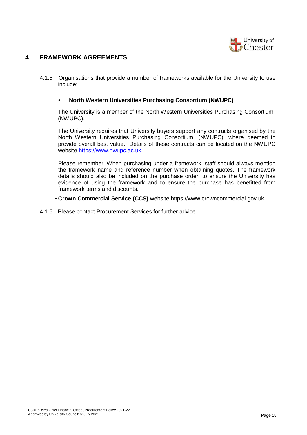

# **4 FRAMEWORK AGREEMENTS**

4.1.5 Organisations that provide a number of frameworks available for the University to use include:

#### • **North Western Universities Purchasing Consortium (NWUPC)**

The University is a member of the North Western Universities Purchasing Consortium (NWUPC).

The University requires that University buyers support any contracts organised by the North Western Universities Purchasing Consortium, (NWUPC), where deemed to provide overall best value. Details of these contracts can be located on the NWUPC website [https://www.nwupc.ac.uk.](https://www.nwupc.ac.uk/)

Please remember: When purchasing under a framework, staff should always mention the framework name and reference number when obtaining quotes. The framework details should also be included on the purchase order, to ensure the University has evidence of using the framework and to ensure the purchase has benefitted from framework terms and discounts.

- **Crown Commercial Service (CCS)** website https://www.crowncommercial.gov.uk
- 4.1.6 Please contact Procurement Services for further advice.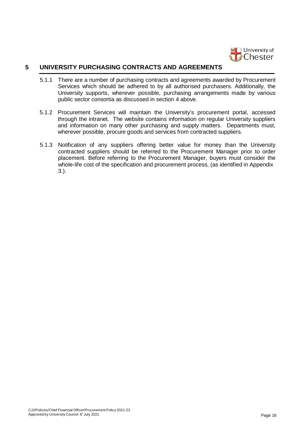

# **5 UNIVERSITY PURCHASING CONTRACTS AND AGREEMENTS**

- 5.1.1 There are a number of purchasing contracts and agreements awarded by Procurement Services which should be adhered to by all authorised purchasers. Additionally, the University supports, wherever possible, purchasing arrangements made by various public sector consortia as discussed in section 4 above.
- 5.1.2 Procurement Services will maintain the University's procurement portal, accessed through the intranet. The website contains information on regular University suppliers and information on many other purchasing and supply matters. Departments must, wherever possible, procure goods and services from contracted suppliers.
- 5.1.3 Notification of any suppliers offering better value for money than the University contracted suppliers should be referred to the Procurement Manager prior to order placement. Before referring to the Procurement Manager, buyers must consider the whole-life cost of the specification and procurement process, (as identified in Appendix 3.).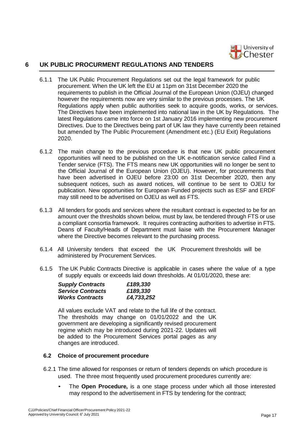

# **6 UK PUBLIC PROCURMENT REGULATIONS AND TENDERS**

- 6.1.1 The UK Public Procurement Regulations set out the legal framework for public procurement. When the UK left the EU at 11pm on 31st December 2020 the requirements to publish in the Official Journal of the European Union (OJEU) changed however the requirements now are very similar to the previous processes. The UK Regulations apply when public authorities seek to acquire goods, works, or services. The Directives have been implemented into national law in the UK by Regulations. The latest Regulations came into force on 1st January 2016 implementing new procurement Directives. Due to the Directives being part of UK law they have currently been retained but amended by The Public Procurement (Amendment etc.) (EU Exit) Regulations 2020.
- 6.1.2 The main change to the previous procedure is that new UK public procurement opportunities will need to be published on the UK e-notification service called Find a Tender service (FTS). The FTS means new UK opportunities will no longer be sent to the Official Journal of the European Union (OJEU). However, for procurements that have been advertised in OJEU before 23:00 on 31st December 2020, then any subsequent notices, such as award notices, will continue to be sent to OJEU for publication. New opportunities for European Funded projects such as ESF and ERDF may still need to be advertised on OJEU as well as FTS.
- 6.1.3 All tenders for goods and services where the resultant contract is expected to be for an amount over the thresholds shown below, must by law, be tendered through FTS or use a compliant consortia framework. It requires contracting authorities to advertise in FTS. Deans of Faculty/Heads of Department must liaise with the Procurement Manager where the Directive becomes relevant to the purchasing process.
- 6.1.4 All University tenders that exceed the UK Procurement thresholds will be administered by Procurement Services.
- 6.1.5 The UK Public Contracts Directive is applicable in cases where the value of a type of supply equals or exceeds laid down thresholds. At 01/01/2020, these are:

| <b>Supply Contracts</b>  | £189,330   |
|--------------------------|------------|
| <b>Service Contracts</b> | £189,330   |
| <b>Works Contracts</b>   | £4,733,252 |

All values exclude VAT and relate to the full life of the contract. The thresholds may change on 01/01/2022 and the UK government are developing a significantly revised procurement regime which may be introduced during 2021-22. Updates will be added to the Procurement Services portal pages as any changes are introduced.

#### **6.2 Choice of procurement procedure**

- 6.2.1 The time allowed for responses or return of tenders depends on which procedure is used. The three most frequently used procurement procedures currently are:
	- The **Open Procedure,** is a one stage process under which all those interested may respond to the advertisement in FTS by tendering for the contract;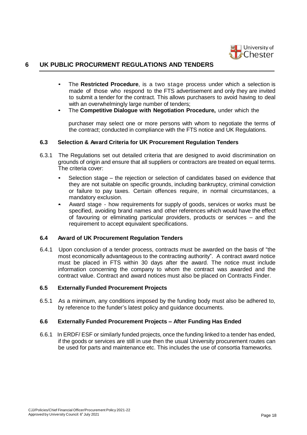

# **6 UK PUBLIC PROCURMENT REGULATIONS AND TENDERS**

- The **Restricted Procedure**, is a two stage process under which a selection is made of those who respond to the FTS advertisement and only they are invited to submit a tender for the contract. This allows purchasers to avoid having to deal with an overwhelmingly large number of tenders;
- The **Competitive Dialogue with Negotiation Procedure,** under which the

purchaser may select one or more persons with whom to negotiate the terms of the contract; conducted in compliance with the FTS notice and UK Regulations.

#### **6.3 Selection & Award Criteria for UK Procurement Regulation Tenders**

- 6.3.1 The Regulations set out detailed criteria that are designed to avoid discrimination on grounds of origin and ensure that all suppliers or contractors are treated on equal terms. The criteria cover:
	- Selection stage the rejection or selection of candidates based on evidence that they are not suitable on specific grounds, including bankruptcy, criminal conviction or failure to pay taxes. Certain offences require, in normal circumstances, a mandatory exclusion.
	- Award stage how requirements for supply of goods, services or works must be specified, avoiding brand names and other references which would have the effect of favouring or eliminating particular providers, products or services – and the requirement to accept equivalent specifications.

#### **6.4 Award of UK Procurement Regulation Tenders**

6.4.1 Upon conclusion of a tender process, contracts must be awarded on the basis of "the most economically advantageous to the contracting authority". A contract award notice must be placed in FTS within 30 days after the award. The notice must include information concerning the company to whom the contract was awarded and the contract value. Contract and award notices must also be placed on Contracts Finder.

#### **6.5 Externally Funded Procurement Projects**

6.5.1 As a minimum, any conditions imposed by the funding body must also be adhered to, by reference to the funder's latest policy and guidance documents.

#### **6.6 Externally Funded Procurement Projects – After Funding Has Ended**

6.6.1 In ERDF/ ESF or similarly funded projects, once the funding linked to a tender has ended, if the goods or services are still in use then the usual University procurement routes can be used for parts and maintenance etc. This includes the use of consortia frameworks.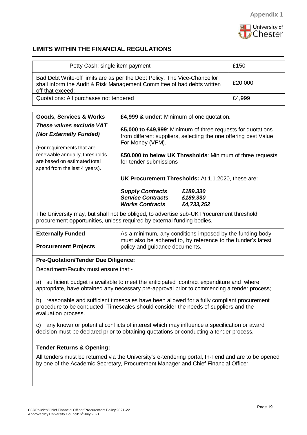

# **LIMITS WITHIN THE FINANCIAL REGULATIONS**

| Petty Cash: single item payment                                                                                                                                                                                                                                                                                                                                                                          | £150                                                                                                                                                                                                                                                                                                                                                                                                                                                                       |  |  |  |  |
|----------------------------------------------------------------------------------------------------------------------------------------------------------------------------------------------------------------------------------------------------------------------------------------------------------------------------------------------------------------------------------------------------------|----------------------------------------------------------------------------------------------------------------------------------------------------------------------------------------------------------------------------------------------------------------------------------------------------------------------------------------------------------------------------------------------------------------------------------------------------------------------------|--|--|--|--|
| Bad Debt Write-off limits are as per the Debt Policy. The Vice-Chancellor<br>£20,000<br>shall inform the Audit & Risk Management Committee of bad debts written<br>off that exceed:                                                                                                                                                                                                                      |                                                                                                                                                                                                                                                                                                                                                                                                                                                                            |  |  |  |  |
| Quotations: All purchases not tendered                                                                                                                                                                                                                                                                                                                                                                   | £4,999                                                                                                                                                                                                                                                                                                                                                                                                                                                                     |  |  |  |  |
|                                                                                                                                                                                                                                                                                                                                                                                                          |                                                                                                                                                                                                                                                                                                                                                                                                                                                                            |  |  |  |  |
| <b>Goods, Services &amp; Works</b><br>These values exclude VAT<br>(Not Externally Funded)<br>(For requirements that are<br>renewable annually, thresholds<br>are based on estimated total<br>spend from the last 4 years).                                                                                                                                                                               | £4,999 & under: Minimum of one quotation.<br>£5,000 to £49,999: Minimum of three requests for quotations<br>from different suppliers, selecting the one offering best Value<br>For Money (VFM).<br>£50,000 to below UK Thresholds: Minimum of three requests<br>for tender submissions<br><b>UK Procurement Thresholds: At 1.1.2020, these are:</b><br><b>Supply Contracts</b><br>£189,330<br><b>Service Contracts</b><br>£189,330<br><b>Works Contracts</b><br>£4,733,252 |  |  |  |  |
| The University may, but shall not be obliged, to advertise sub-UK Procurement threshold<br>procurement opportunities, unless required by external funding bodies.                                                                                                                                                                                                                                        |                                                                                                                                                                                                                                                                                                                                                                                                                                                                            |  |  |  |  |
| <b>Externally Funded</b><br><b>Procurement Projects</b>                                                                                                                                                                                                                                                                                                                                                  | As a minimum, any conditions imposed by the funding body<br>must also be adhered to, by reference to the funder's latest<br>policy and guidance documents.                                                                                                                                                                                                                                                                                                                 |  |  |  |  |
| <b>Pre-Quotation/Tender Due Diligence:</b>                                                                                                                                                                                                                                                                                                                                                               |                                                                                                                                                                                                                                                                                                                                                                                                                                                                            |  |  |  |  |
| Department/Faculty must ensure that:-                                                                                                                                                                                                                                                                                                                                                                    |                                                                                                                                                                                                                                                                                                                                                                                                                                                                            |  |  |  |  |
| a) sufficient budget is available to meet the anticipated contract expenditure and where<br>appropriate, have obtained any necessary pre-approval prior to commencing a tender process;<br>reasonable and sufficient timescales have been allowed for a fully compliant procurement<br>b)<br>procedure to be conducted. Timescales should consider the needs of suppliers and the<br>evaluation process. |                                                                                                                                                                                                                                                                                                                                                                                                                                                                            |  |  |  |  |
| any known or potential conflicts of interest which may influence a specification or award<br>C)<br>decision must be declared prior to obtaining quotations or conducting a tender process.                                                                                                                                                                                                               |                                                                                                                                                                                                                                                                                                                                                                                                                                                                            |  |  |  |  |
| <b>Tender Returns &amp; Opening:</b><br>All tenders must be returned via the University's e-tendering portal, In-Tend and are to be opened<br>by one of the Academic Secretary, Procurement Manager and Chief Financial Officer.                                                                                                                                                                         |                                                                                                                                                                                                                                                                                                                                                                                                                                                                            |  |  |  |  |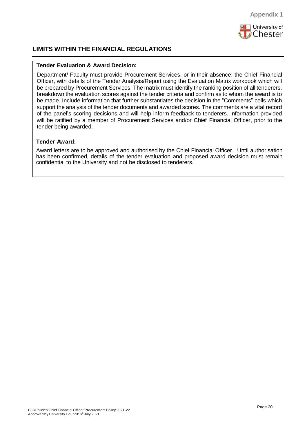

# **LIMITS WITHIN THE FINANCIAL REGULATIONS**

#### **Tender Evaluation & Award Decision:**

Department/ Faculty must provide Procurement Services, or in their absence; the Chief Financial Officer, with details of the Tender Analysis/Report using the Evaluation Matrix workbook which will be prepared by Procurement Services. The matrix must identify the ranking position of all tenderers, breakdown the evaluation scores against the tender criteria and confirm as to whom the award is to be made. Include information that further substantiates the decision in the "Comments" cells which support the analysis of the tender documents and awarded scores. The comments are a vital record of the panel's scoring decisions and will help inform feedback to tenderers. Information provided will be ratified by a member of Procurement Services and/or Chief Financial Officer, prior to the tender being awarded.

#### **Tender Award:**

Award letters are to be approved and authorised by the Chief Financial Officer. Until authorisation has been confirmed, details of the tender evaluation and proposed award decision must remain confidential to the University and not be disclosed to tenderers.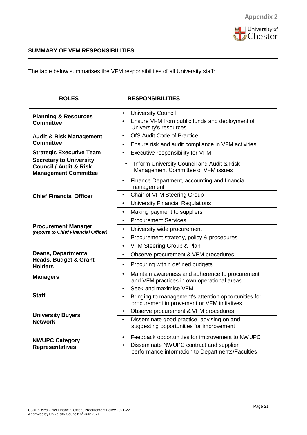

# **SUMMARY OF VFM RESPONSIBILITIES**

The table below summarises the VFM responsibilities of all University staff:

| <b>ROLES</b>                                                                            | <b>RESPONSIBILITIES</b>                                                                                         |
|-----------------------------------------------------------------------------------------|-----------------------------------------------------------------------------------------------------------------|
| <b>Planning &amp; Resources</b>                                                         | <b>University Council</b><br>$\bullet$                                                                          |
| <b>Committee</b>                                                                        | Ensure VFM from public funds and deployment of<br>$\bullet$<br>University's resources                           |
| <b>Audit &amp; Risk Management</b>                                                      | OfS Audit Code of Practice<br>$\bullet$                                                                         |
| <b>Committee</b>                                                                        | Ensure risk and audit compliance in VFM activities<br>$\bullet$                                                 |
| <b>Strategic Executive Team</b>                                                         | Executive responsibility for VFM<br>$\bullet$                                                                   |
| <b>Secretary to University</b><br>Council / Audit & Risk<br><b>Management Committee</b> | Inform University Council and Audit & Risk<br>$\bullet$<br>Management Committee of VFM issues                   |
|                                                                                         | Finance Department, accounting and financial<br>$\bullet$<br>management                                         |
| <b>Chief Financial Officer</b>                                                          | Chair of VFM Steering Group<br>$\bullet$                                                                        |
|                                                                                         | <b>University Financial Regulations</b><br>$\bullet$                                                            |
|                                                                                         | Making payment to suppliers<br>$\bullet$                                                                        |
|                                                                                         | <b>Procurement Services</b><br>$\bullet$                                                                        |
| <b>Procurement Manager</b><br>(reports to Chief Financial Officer)                      | University wide procurement<br>$\bullet$                                                                        |
|                                                                                         | Procurement strategy, policy & procedures<br>$\bullet$                                                          |
|                                                                                         | VFM Steering Group & Plan<br>$\bullet$                                                                          |
| <b>Deans, Departmental</b><br><b>Heads, Budget &amp; Grant</b>                          | Observe procurement & VFM procedures<br>$\bullet$                                                               |
| <b>Holders</b>                                                                          | Procuring within defined budgets<br>$\bullet$                                                                   |
| <b>Managers</b>                                                                         | Maintain awareness and adherence to procurement<br>$\bullet$<br>and VFM practices in own operational areas      |
|                                                                                         | Seek and maximise VFM<br>$\bullet$                                                                              |
| <b>Staff</b>                                                                            | Bringing to management's attention opportunities for<br>$\bullet$<br>procurement improvement or VFM initiatives |
| <b>University Buyers</b>                                                                | Observe procurement & VFM procedures<br>$\bullet$                                                               |
| <b>Network</b>                                                                          | Disseminate good practice, advising on and<br>$\bullet$<br>suggesting opportunities for improvement             |
| <b>NWUPC Category</b>                                                                   | Feedback opportunities for improvement to NW UPC<br>$\bullet$                                                   |
| <b>Representatives</b>                                                                  | Disseminate NW UPC contract and supplier<br>$\bullet$<br>performance information to Departments/Faculties       |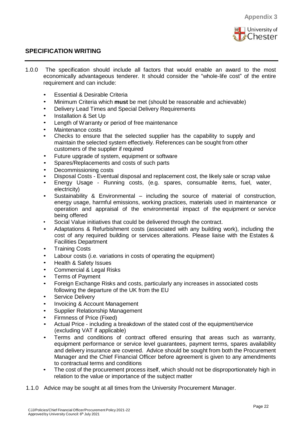

# **SPECIFICATION WRITING**

- 1.0.0 The specification should include all factors that would enable an award to the most economically advantageous tenderer. It should consider the "whole-life cost" of the entire requirement and can include:
	- **Essential & Desirable Criteria**
	- Minimum Criteria which **must** be met (should be reasonable and achievable)
	- Delivery Lead Times and Special Delivery Requirements
	- Installation & Set Up
	- Length of Warranty or period of free maintenance
	- Maintenance costs
	- Checks to ensure that the selected supplier has the capability to supply and maintain the selected system effectively. References can be sought from other customers of the supplier if required
	- Future upgrade of system, equipment or software
	- Spares/Replacements and costs of such parts
	- Decommissioning costs
	- Disposal Costs Eventual disposal and replacement cost, the likely sale or scrap value
	- Energy Usage Running costs, (e.g. spares, consumable items, fuel, water, electricity)
	- Sustainability & Environmental including the source of material of construction, energy usage, harmful emissions, working practices, materials used in maintenance or operation and appraisal of the environmental impact of the equipment or service being offered
	- Social Value initiatives that could be delivered through the contract.
	- Adaptations & Refurbishment costs (associated with any building work), including the cost of any required building or services alterations. Please liaise with the Estates & Facilities Department
	- **Training Costs**
	- Labour costs (i.e. variations in costs of operating the equipment)
	- Health & Safety Issues
	- Commercial & Legal Risks
	- Terms of Payment
	- Foreign Exchange Risks and costs, particularly any increases in associated costs following the departure of the UK from the EU
	- Service Delivery
	- Invoicing & Account Management
	- Supplier Relationship Management
	- Firmness of Price (Fixed)
	- Actual Price including a breakdown of the stated cost of the equipment/service (excluding VAT if applicable)
	- Terms and conditions of contract offered ensuring that areas such as warranty, equipment performance or service level guarantees, payment terms, spares availability and delivery insurance are covered. Advice should be sought from both the Procurement Manager and the Chief Financial Officer before agreement is given to any amendments to contractual terms and conditions
	- The cost of the procurement process itself, which should not be disproportionately high in relation to the value or importance of the subject matter
- 1.1.0 Advice may be sought at all times from the University Procurement Manager.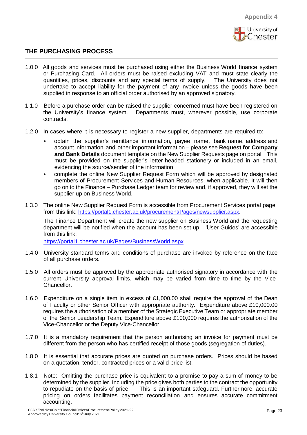

- 1.0.0 All goods and services must be purchased using either the Business World finance system or Purchasing Card. All orders must be raised excluding VAT and must state clearly the quantities, prices, discounts and any special terms of supply. The University does not undertake to accept liability for the payment of any invoice unless the goods have been supplied in response to an official order authorised by an approved signatory.
- 1.1.0 Before a purchase order can be raised the supplier concerned must have been registered on the University's finance system. Departments must, wherever possible, use corporate contracts.
- 1.2.0 In cases where it is necessary to register a new supplier, departments are required to:-
	- obtain the supplier's remittance information, payee name, bank name, address and account information and other important information – please see **Request for Company and Bank Details** document template on the New Supplier Requests page on portal. This must be provided on the supplier's letter-headed stationery or included in an email, evidencing the source/sender of the information;
	- complete the online New Supplier Request Form which will be approved by designated members of Procurement Services and Human Resources, when applicable. It will then go on to the Finance – Purchase Ledger team for review and, if approved, they will set the supplier up on Business World.
- 1.3.0 The online New Supplier Request Form is accessible from Procurement Services portal page from this link: [https://portal1.chester.ac.uk/procurement/Pages/newsupplier.aspx.](https://portal1.chester.ac.uk/procurement/Pages/newsupplier.aspx)

The Finance Department will create the new supplier on Business World and the requesting department will be notified when the account has been set up. 'User Guides' are accessible from this link:

<https://portal1.chester.ac.uk/Pages/BusinessWorld.aspx>

- 1.4.0 University standard terms and conditions of purchase are invoked by reference on the face of all purchase orders.
- 1.5.0 All orders must be approved by the appropriate authorised signatory in accordance with the current University approval limits, which may be varied from time to time by the Vice-Chancellor.
- 1.6.0 Expenditure on a single item in excess of £1,000.00 shall require the approval of the Dean of Faculty or other Senior Officer with appropriate authority. Expenditure above £10,000.00 requires the authorisation of a member of the Strategic Executive Team or appropriate member of the Senior Leadership Team. Expenditure above £100,000 requires the authorisation of the Vice-Chancellor or the Deputy Vice-Chancellor.
- 1.7.0 It is a mandatory requirement that the person authorising an invoice for payment must be different from the person who has certified receipt of those goods (segregation of duties).
- 1.8.0 It is essential that accurate prices are quoted on purchase orders. Prices should be based on a quotation, tender, contracted prices or a valid price list.
- 1.8.1 Note: Omitting the purchase price is equivalent to a promise to pay a sum of money to be determined by the supplier. Including the price gives both parties to the contract the opportunity to repudiate on the basis of price. This is an important safeguard. Furthermore, accurate pricing on orders facilitates payment reconciliation and ensures accurate commitment accounting.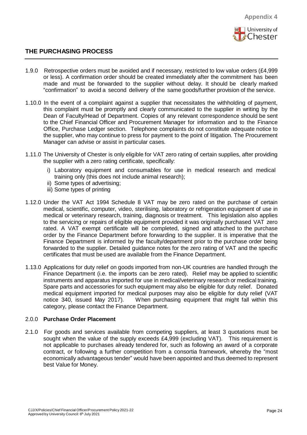

- 1.9.0 Retrospective orders must be avoided and if necessary, restricted to low value orders (£4,999 or less). A confirmation order should be created immediately after the commitment has been made and must be forwarded to the supplier without delay. It should be clearly marked "confirmation" to avoid a second delivery of the same goods/further provision of the service.
- 1.10.0 In the event of a complaint against a supplier that necessitates the withholding of payment, this complaint must be promptly and clearly communicated to the supplier in writing by the Dean of Faculty/Head of Department. Copies of any relevant correspondence should be sent to the Chief Financial Officer and Procurement Manager for information and to the Finance Office, Purchase Ledger section. Telephone complaints do not constitute adequate notice to the supplier, who may continue to press for payment to the point of litigation. The Procurement Manager can advise or assist in particular cases.
- 1.11.0 The University of Chester is only eligible for VAT zero rating of certain supplies, after providing the supplier with a zero rating certificate, specifically:
	- i) Laboratory equipment and consumables for use in medical research and medical training only (this does not include animal research);
	- ii) Some types of advertising;
	- iii) Some types of printing
- 1.12.0 Under the VAT Act 1994 Schedule 8 VAT may be zero rated on the purchase of certain medical, scientific, computer, video, sterilising, laboratory or refrigeration equipment of use in medical or veterinary research, training, diagnosis or treatment. This legislation also applies to the servicing or repairs of eligible equipment provided it was originally purchased VAT zero rated. A VAT exempt certificate will be completed, signed and attached to the purchase order by the Finance Department before forwarding to the supplier. It is imperative that the Finance Department is informed by the faculty/department prior to the purchase order being forwarded to the supplier. Detailed guidance notes for the zero rating of VAT and the specific certificates that must be used are available from the Finance Department.
- 1.13.0 Applications for duty relief on goods imported from non-UK countries are handled through the Finance Department (i.e. the imports can be zero rated). Relief may be applied to scientific instruments and apparatus imported for use in medical/veterinary research or medical training. Spare parts and accessories for such equipment may also be eligible for duty relief. Donated medical equipment imported for medical purposes may also be eligible for duty relief (VAT notice 340, issued May 2017). When purchasing equipment that might fall within this category, please contact the Finance Department.

#### 2.0.0 **Purchase Order Placement**

2.1.0 For goods and services available from competing suppliers, at least 3 quotations must be sought when the value of the supply exceeds £4,999 (excluding VAT). This requirement is not applicable to purchases already tendered for, such as following an award of a corporate contract, or following a further competition from a consortia framework, whereby the "most economically advantageous tender" would have been appointed and thus deemed to represent best Value for Money.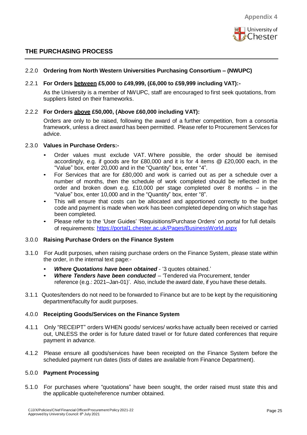

#### 2.2.0 **Ordering from North Western Universities Purchasing Consortium – (NWUPC)**

#### 2.2.1 **For Orders between £5,000 to £49,999, (£6,000 to £59,999 including VAT):-**

As the University is a member of NWUPC, staff are encouraged to first seek quotations, from suppliers listed on their frameworks.

#### 2.2.2 **For Orders above £50,000, (Above £60,000 including VAT):**

Orders are only to be raised, following the award of a further competition, from a consortia framework, unless a direct award has been permitted. Please refer to Procurement Services for advice.

#### 2.3.0 **Values in Purchase Orders:-**

- Order values must exclude VAT. Where possible, the order should be itemised accordingly, e.g. if goods are for £80,000 and it is for 4 items @ £20,000 each, in the "Value" box, enter 20,000 and in the "Quantity" box, enter "4".
- For Services that are for £80,000 and work is carried out as per a schedule over a number of months, then the schedule of work completed should be reflected in the order and broken down e.g. £10,000 per stage completed over 8 months – in the "Value" box, enter 10,000 and in the "Quantity" box, enter "8".
- This will ensure that costs can be allocated and apportioned correctly to the budget code and payment is made when work has been completed depending on which stage has been completed.
- Please refer to the 'User Guides' 'Requisitions/Purchase Orders' on portal for full details of requirements:<https://portal1.chester.ac.uk/Pages/BusinessWorld.aspx>

#### 3.0.0 **Raising Purchase Orders on the Finance System**

- 3.1.0 For Audit purposes, when raising purchase orders on the Finance System, please state within the order, in the internal text page:-
	- *Where Quotations have been obtained* '3 quotes obtained.'
	- *Where Tenders have been conducted* 'Tendered via Procurement, tender reference (e.g.: 2021–Jan-01)'. Also, include the award date, if you have these details.
- 3.1.1 Quotes/tenders do not need to be forwarded to Finance but are to be kept by the requisitioning department/faculty for audit purposes.

#### 4.0.0 **Receipting Goods/Services on the Finance System**

- 4.1.1 Only "RECEIPT" orders WHEN goods/ services/ works have actually been received or carried out, UNLESS the order is for future dated travel or for future dated conferences that require payment in advance.
- 4.1.2 Please ensure all goods/services have been receipted on the Finance System before the scheduled payment run dates (lists of dates are available from Finance Department).

#### 5.0.0 **Payment Processing**

5.1.0 For purchases where "quotations" have been sought, the order raised must state this and the applicable quote/reference number obtained.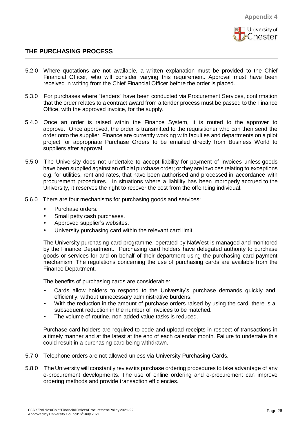

- 5.2.0 Where quotations are not available, a written explanation must be provided to the Chief Financial Officer, who will consider varying this requirement. Approval must have been received in writing from the Chief Financial Officer before the order is placed.
- 5.3.0 For purchases where "tenders" have been conducted via Procurement Services, confirmation that the order relates to a contract award from a tender process must be passed to the Finance Office, with the approved invoice, for the supply.
- 5.4.0 Once an order is raised within the Finance System, it is routed to the approver to approve. Once approved, the order is transmitted to the requisitioner who can then send the order onto the supplier. Finance are currently working with faculties and departments on a pilot project for appropriate Purchase Orders to be emailed directly from Business World to suppliers after approval.
- 5.5.0 The University does not undertake to accept liability for payment of invoices unless goods have been supplied against an official purchase order; or they are invoices relating to exceptions e.g. for utilities, rent and rates, that have been authorised and processed in accordance with procurement procedures. In situations where a liability has been improperly accrued to the University, it reserves the right to recover the cost from the offending individual.
- 5.6.0 There are four mechanisms for purchasing goods and services:
	- Purchase orders.
	- Small petty cash purchases.
	- Approved supplier's websites.
	- University purchasing card within the relevant card limit.

The University purchasing card programme, operated by NatWest is managed and monitored by the Finance Department. Purchasing card holders have delegated authority to purchase goods or services for and on behalf of their department using the purchasing card payment mechanism. The regulations concerning the use of purchasing cards are available from the Finance Department.

The benefits of purchasing cards are considerable:

- Cards allow holders to respond to the University's purchase demands quickly and efficiently, without unnecessary administrative burdens.
- With the reduction in the amount of purchase orders raised by using the card, there is a subsequent reduction in the number of invoices to be matched.
- The volume of routine, non-added value tasks is reduced.

Purchase card holders are required to code and upload receipts in respect of transactions in a timely manner and at the latest at the end of each calendar month. Failure to undertake this could result in a purchasing card being withdrawn.

- 5.7.0 Telephone orders are not allowed unless via University Purchasing Cards.
- 5.8.0 The University will constantly review its purchase ordering procedures to take advantage of any e-procurement developments. The use of online ordering and e-procurement can improve ordering methods and provide transaction efficiencies.